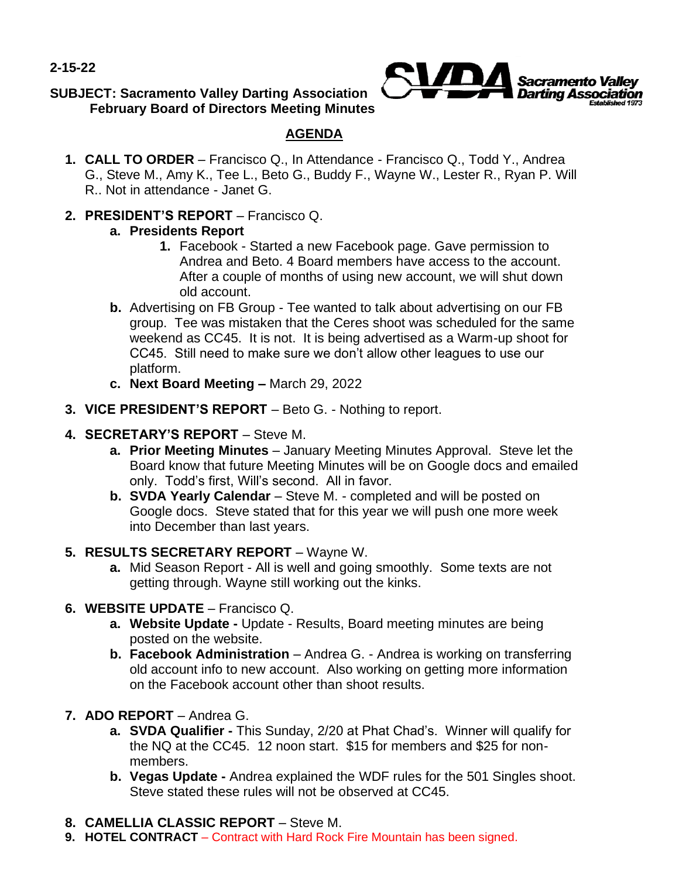**2-15-22**

### **SUBJECT: Sacramento Valley Darting Association February Board of Directors Meeting Minutes**



# **AGENDA**

- **1. CALL TO ORDER**  Francisco Q., In Attendance Francisco Q., Todd Y., Andrea G., Steve M., Amy K., Tee L., Beto G., Buddy F., Wayne W., Lester R., Ryan P. Will R.. Not in attendance - Janet G.
- **2. PRESIDENT'S REPORT**  Francisco Q.

## **a. Presidents Report**

- **1.** Facebook Started a new Facebook page. Gave permission to Andrea and Beto. 4 Board members have access to the account. After a couple of months of using new account, we will shut down old account.
- **b.** Advertising on FB Group Tee wanted to talk about advertising on our FB group. Tee was mistaken that the Ceres shoot was scheduled for the same weekend as CC45. It is not. It is being advertised as a Warm-up shoot for CC45. Still need to make sure we don't allow other leagues to use our platform.
- **c. Next Board Meeting –** March 29, 2022
- **3. VICE PRESIDENT'S REPORT**  Beto G. Nothing to report.
- **4. SECRETARY'S REPORT**  Steve M.
	- **a. Prior Meeting Minutes**  January Meeting Minutes Approval. Steve let the Board know that future Meeting Minutes will be on Google docs and emailed only. Todd's first, Will's second. All in favor.
	- **b. SVDA Yearly Calendar**  Steve M. completed and will be posted on Google docs. Steve stated that for this year we will push one more week into December than last years.
- **5. RESULTS SECRETARY REPORT**  Wayne W.
	- **a.** Mid Season Report All is well and going smoothly. Some texts are not getting through. Wayne still working out the kinks.
- **6. WEBSITE UPDATE**  Francisco Q.
	- **a. Website Update -** Update Results, Board meeting minutes are being posted on the website.
	- **b.** Facebook Administration Andrea G. Andrea is working on transferring old account info to new account. Also working on getting more information on the Facebook account other than shoot results.
- **7. ADO REPORT**  Andrea G.
	- **a. SVDA Qualifier -** This Sunday, 2/20 at Phat Chad's. Winner will qualify for the NQ at the CC45. 12 noon start. \$15 for members and \$25 for nonmembers.
	- **b. Vegas Update -** Andrea explained the WDF rules for the 501 Singles shoot. Steve stated these rules will not be observed at CC45.
- **8. CAMELLIA CLASSIC REPORT**  Steve M.
- **9. HOTEL CONTRACT**  Contract with Hard Rock Fire Mountain has been signed.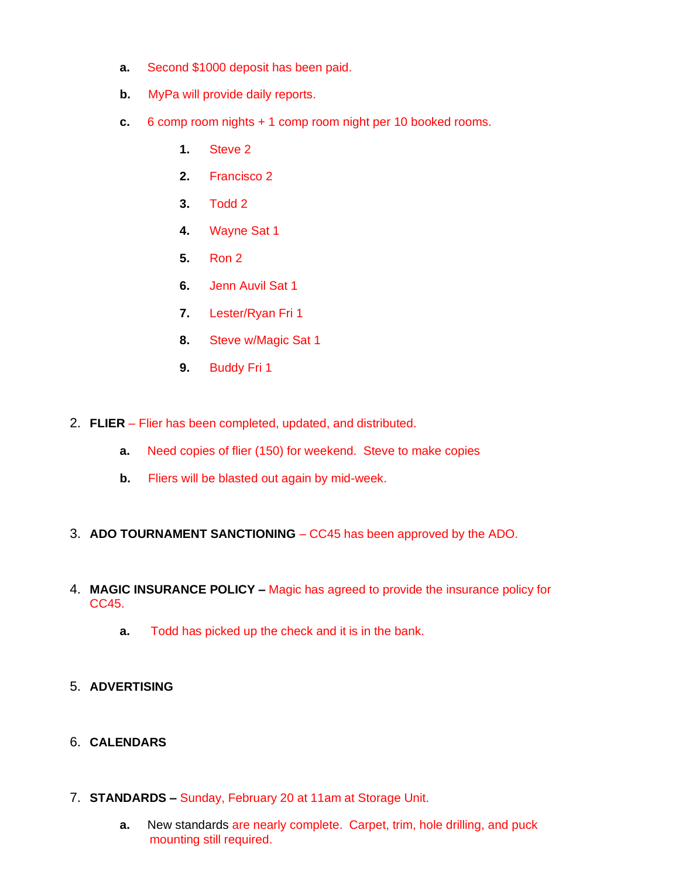- **a.** Second \$1000 deposit has been paid.
- **b.** MyPa will provide daily reports.
- **c.** 6 comp room nights + 1 comp room night per 10 booked rooms.
	- **1.** Steve 2
	- **2.** Francisco 2
	- **3.** Todd 2
	- **4.** Wayne Sat 1
	- **5.** Ron 2
	- **6.** Jenn Auvil Sat 1
	- **7.** Lester/Ryan Fri 1
	- **8.** Steve w/Magic Sat 1
	- **9.** Buddy Fri 1
- 2. **FLIER**  Flier has been completed, updated, and distributed.
	- **a.** Need copies of flier (150) for weekend. Steve to make copies
	- **b.** Fliers will be blasted out again by mid-week.
- 3. **ADO TOURNAMENT SANCTIONING**  CC45 has been approved by the ADO.
- 4. **MAGIC INSURANCE POLICY –** Magic has agreed to provide the insurance policy for CC45.
	- **a.** Todd has picked up the check and it is in the bank.
- 5. **ADVERTISING**
- 6. **CALENDARS**
- 7. **STANDARDS –** Sunday, February 20 at 11am at Storage Unit.
	- **a.** New standards are nearly complete. Carpet, trim, hole drilling, and puck mounting still required.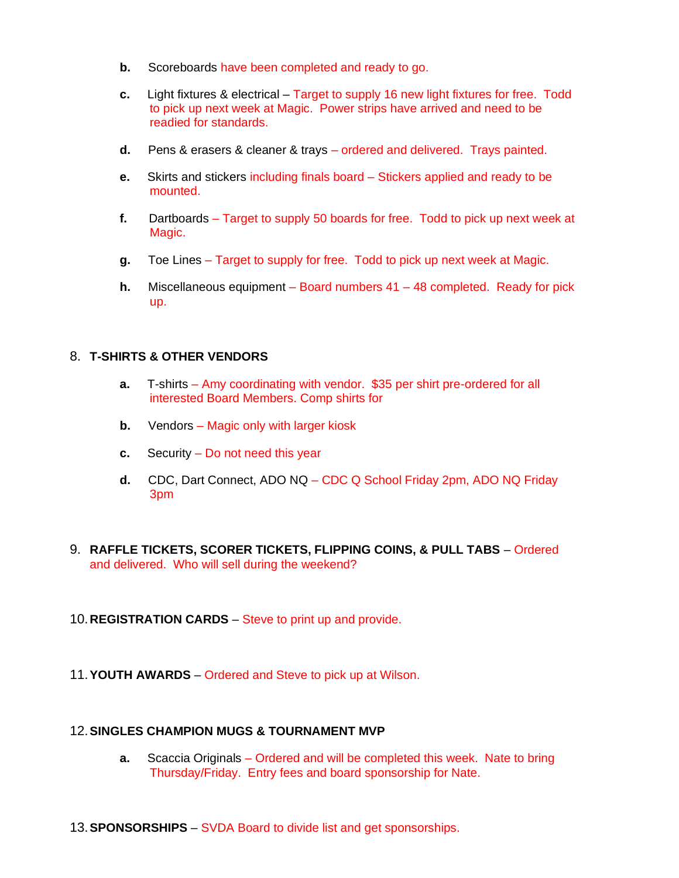- **b.** Scoreboards have been completed and ready to go.
- **c.** Light fixtures & electrical Target to supply 16 new light fixtures for free. Todd to pick up next week at Magic. Power strips have arrived and need to be readied for standards.
- **d.** Pens & erasers & cleaner & trays ordered and delivered. Trays painted.
- **e.** Skirts and stickers including finals board Stickers applied and ready to be mounted.
- **f.** Dartboards Target to supply 50 boards for free. Todd to pick up next week at Magic.
- **g.** Toe Lines Target to supply for free. Todd to pick up next week at Magic.
- **h.** Miscellaneous equipment Board numbers 41 48 completed. Ready for pick up.

### 8. **T-SHIRTS & OTHER VENDORS**

- **a.** T-shirts Amy coordinating with vendor. \$35 per shirt pre-ordered for all interested Board Members. Comp shirts for
- **b.** Vendors Magic only with larger kiosk
- **c.** Security Do not need this year
- **d.** CDC, Dart Connect, ADO NQ CDC Q School Friday 2pm, ADO NQ Friday 3pm
- 9. **RAFFLE TICKETS, SCORER TICKETS, FLIPPING COINS, & PULL TABS** Ordered and delivered. Who will sell during the weekend?
- 10.**REGISTRATION CARDS**  Steve to print up and provide.
- 11.**YOUTH AWARDS**  Ordered and Steve to pick up at Wilson.

#### 12.**SINGLES CHAMPION MUGS & TOURNAMENT MVP**

- **a.** Scaccia Originals Ordered and will be completed this week. Nate to bring Thursday/Friday. Entry fees and board sponsorship for Nate.
- 13.**SPONSORSHIPS**  SVDA Board to divide list and get sponsorships.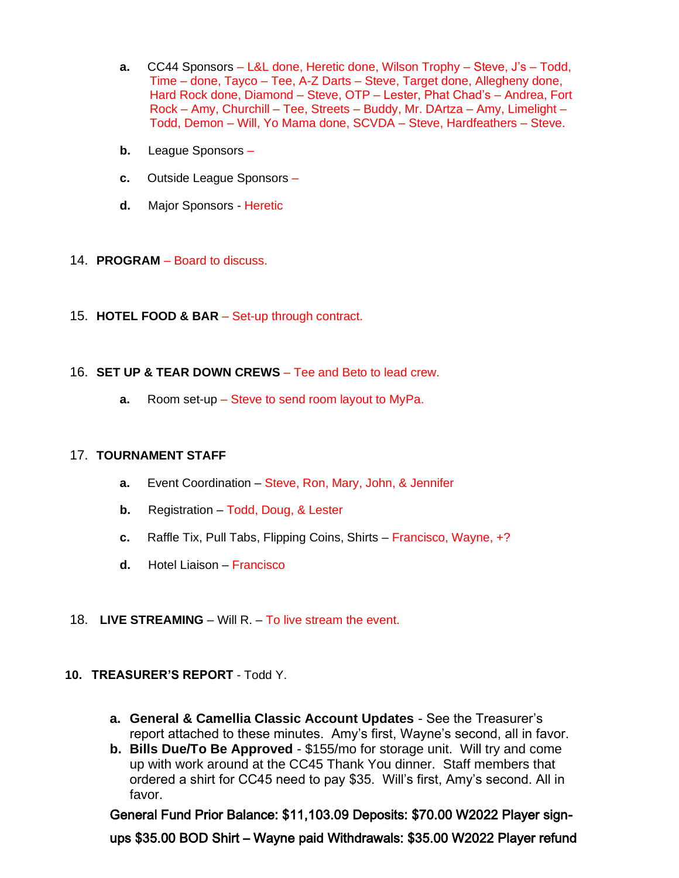- **a.** CC44 Sponsors L&L done, Heretic done, Wilson Trophy Steve, J's Todd, Time – done, Tayco – Tee, A-Z Darts – Steve, Target done, Allegheny done, Hard Rock done, Diamond – Steve, OTP – Lester, Phat Chad's – Andrea, Fort Rock – Amy, Churchill – Tee, Streets – Buddy, Mr. DArtza – Amy, Limelight – Todd, Demon – Will, Yo Mama done, SCVDA – Steve, Hardfeathers – Steve.
- **b.** League Sponsors –
- **c.** Outside League Sponsors –
- **d.** Major Sponsors Heretic
- 14. **PROGRAM**  Board to discuss.
- 15. **HOTEL FOOD & BAR**  Set-up through contract.
- 16. **SET UP & TEAR DOWN CREWS**  Tee and Beto to lead crew.
	- **a.** Room set-up Steve to send room layout to MyPa.

### 17. **TOURNAMENT STAFF**

- **a.** Event Coordination Steve, Ron, Mary, John, & Jennifer
- **b.** Registration Todd, Doug, & Lester
- **c.** Raffle Tix, Pull Tabs, Flipping Coins, Shirts Francisco, Wayne, +?
- **d.** Hotel Liaison Francisco
- 18. **LIVE STREAMING**  Will R. To live stream the event.

### **10. TREASURER'S REPORT** - Todd Y.

- **a. General & Camellia Classic Account Updates**  See the Treasurer's report attached to these minutes. Amy's first, Wayne's second, all in favor.
- **b. Bills Due/To Be Approved**  \$155/mo for storage unit. Will try and come up with work around at the CC45 Thank You dinner. Staff members that ordered a shirt for CC45 need to pay \$35. Will's first, Amy's second. All in favor.

General Fund Prior Balance: \$11,103.09 Deposits: \$70.00 W2022 Player signups \$35.00 BOD Shirt – Wayne paid Withdrawals: \$35.00 W2022 Player refund